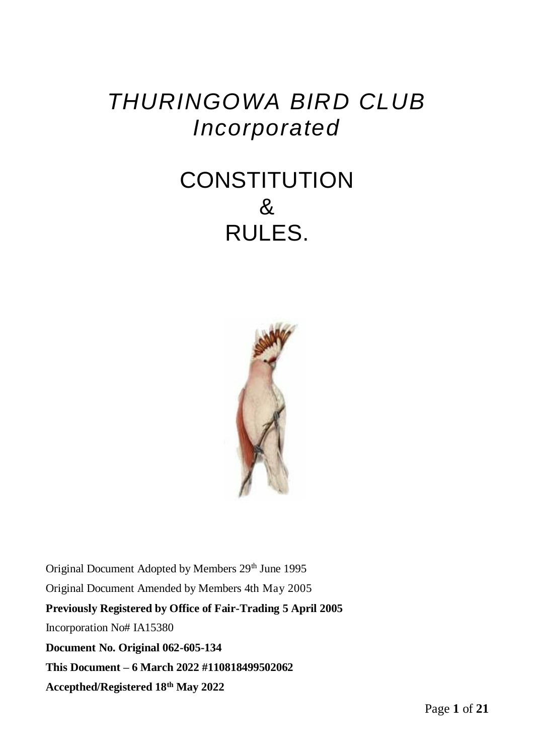# *THURINGOWA BIRD CLUB Incorporated*

# **CONSTITUTION** & RULES.



Original Document Adopted by Members 29<sup>th</sup> June 1995 Original Document Amended by Members 4th May 2005 **Previously Registered by Office of Fair-Trading 5 April 2005**  Incorporation No# IA15380 **Document No. Original 062-605-134 This Document – 6 March 2022 #110818499502062 Accepthed/Registered 18th May 2022**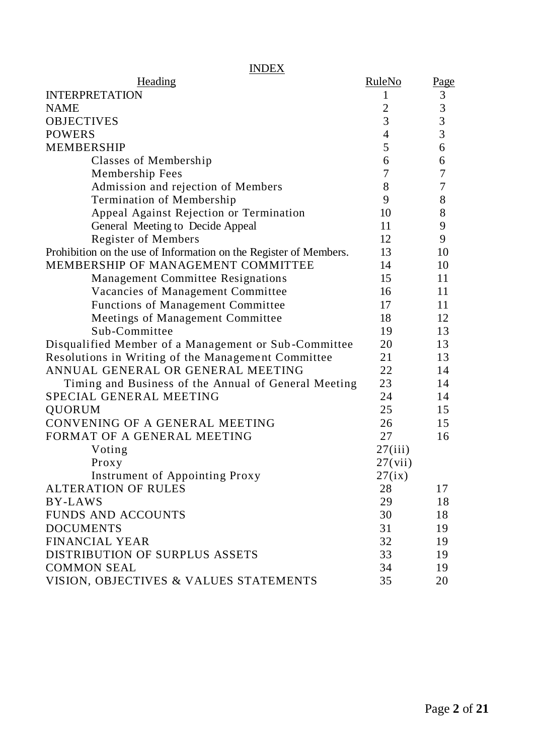| <b>INDEX</b>                                                      |                |                                            |
|-------------------------------------------------------------------|----------------|--------------------------------------------|
| Heading                                                           | RuleNo         | Page                                       |
| <b>INTERPRETATION</b>                                             | 1              | $\ensuremath{\mathfrak{Z}}$                |
| <b>NAME</b>                                                       | $\overline{2}$ |                                            |
| <b>OBJECTIVES</b>                                                 | 3              | $\begin{array}{c} 3 \\ 3 \\ 3 \end{array}$ |
| <b>POWERS</b>                                                     | $\overline{4}$ |                                            |
| <b>MEMBERSHIP</b>                                                 | 5              | 6                                          |
| Classes of Membership                                             | 6              | 6                                          |
| Membership Fees                                                   | 7              | 7                                          |
| Admission and rejection of Members                                | 8              | 7                                          |
| Termination of Membership                                         | 9              | 8                                          |
| Appeal Against Rejection or Termination                           | 10             | 8                                          |
| General Meeting to Decide Appeal                                  | 11             | 9                                          |
| Register of Members                                               | 12             | 9                                          |
| Prohibition on the use of Information on the Register of Members. | 13             | 10                                         |
| MEMBERSHIP OF MANAGEMENT COMMITTEE                                | 14             | 10                                         |
| Management Committee Resignations                                 | 15             | 11                                         |
| Vacancies of Management Committee                                 | 16             | 11                                         |
| Functions of Management Committee                                 | 17             | 11                                         |
| Meetings of Management Committee                                  | 18             | 12                                         |
| Sub-Committee                                                     | 19             | 13                                         |
| Disqualified Member of a Management or Sub-Committee              | 20             | 13                                         |
| Resolutions in Writing of the Management Committee                | 21             | 13                                         |
| ANNUAL GENERAL OR GENERAL MEETING                                 | 22.            | 14                                         |
| Timing and Business of the Annual of General Meeting              | 23             | 14                                         |
| SPECIAL GENERAL MEETING                                           | 24             | 14                                         |
| QUORUM                                                            | 25             | 15                                         |
| CONVENING OF A GENERAL MEETING                                    | 26             | 15                                         |
| FORMAT OF A GENERAL MEETING                                       | 27             | 16                                         |
| Voting                                                            | 27(iii)        |                                            |
| Proxy                                                             | 27(vii)        |                                            |
| Instrument of Appointing Proxy                                    | 27(ix)         |                                            |
| <b>ALTERATION OF RULES</b>                                        | 28             | 17                                         |
| <b>BY-LAWS</b>                                                    | 29             | 18                                         |
| <b>FUNDS AND ACCOUNTS</b>                                         | 30             | 18                                         |
| <b>DOCUMENTS</b>                                                  | 31             | 19                                         |
| <b>FINANCIAL YEAR</b>                                             | 32             | 19                                         |
| DISTRIBUTION OF SURPLUS ASSETS                                    | 33             | 19                                         |
| <b>COMMON SEAL</b>                                                | 34             | 19                                         |
| VISION, OBJECTIVES & VALUES STATEMENTS                            | 35             | 20                                         |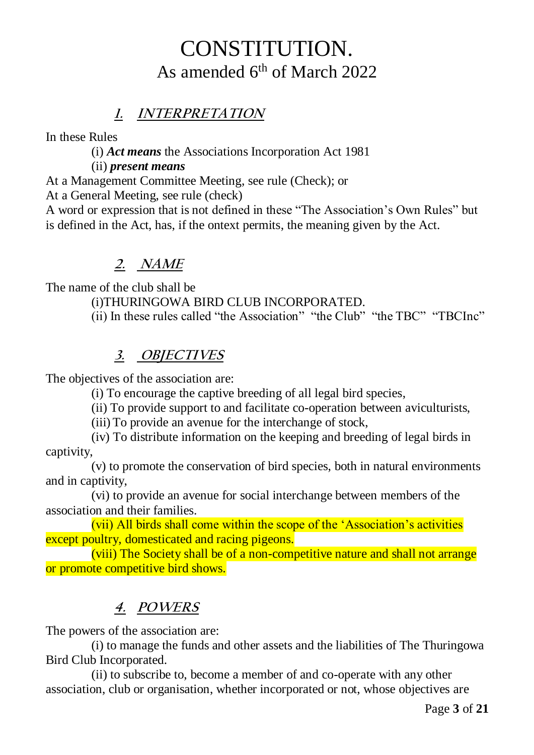# CONSTITUTION. As amended 6<sup>th</sup> of March 2022

# **1. INTERPRETATION**

In these Rules

(i) *Act means* the Associations Incorporation Act 1981

### (ii) *present means*

At a Management Committee Meeting, see rule (Check); or

At a General Meeting, see rule (check)

A word or expression that is not defined in these "The Association's Own Rules" but is defined in the Act, has, if the ontext permits, the meaning given by the Act.

# **2. NAME**

The name of the club shall be

(i)THURINGOWA BIRD CLUB INCORPORATED.

(ii) In these rules called "the Association" "the Club" "the TBC" "TBCInc"

# **3. OBJECTIVES**

The objectives of the association are:

(i) To encourage the captive breeding of all legal bird species,

(ii) To provide support to and facilitate co-operation between aviculturists,

(iii) To provide an avenue for the interchange of stock,

(iv) To distribute information on the keeping and breeding of legal birds in captivity,

(v) to promote the conservation of bird species, both in natural environments and in captivity,

(vi) to provide an avenue for social interchange between members of the association and their families.

(vii) All birds shall come within the scope of the 'Association's activities except poultry, domesticated and racing pigeons.

(viii) The Society shall be of a non-competitive nature and shall not arrange or promote competitive bird shows.

# **4. POWERS**

The powers of the association are:

(i) to manage the funds and other assets and the liabilities of The Thuringowa Bird Club Incorporated.

(ii) to subscribe to, become a member of and co-operate with any other association, club or organisation, whether incorporated or not, whose objectives are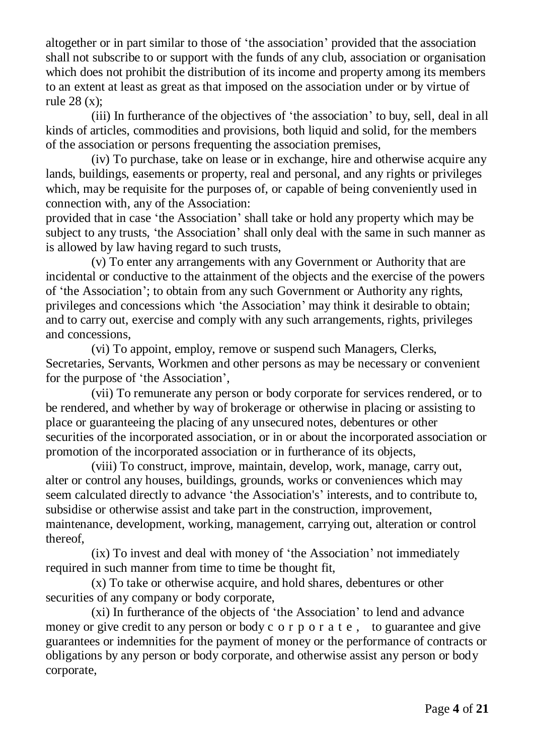altogether or in part similar to those of 'the association' provided that the association shall not subscribe to or support with the funds of any club, association or organisation which does not prohibit the distribution of its income and property among its members to an extent at least as great as that imposed on the association under or by virtue of rule 28 (x);

(iii) In furtherance of the objectives of 'the association' to buy, sell, deal in all kinds of articles, commodities and provisions, both liquid and solid, for the members of the association or persons frequenting the association premises,

(iv) To purchase, take on lease or in exchange, hire and otherwise acquire any lands, buildings, easements or property, real and personal, and any rights or privileges which, may be requisite for the purposes of, or capable of being conveniently used in connection with, any of the Association:

provided that in case 'the Association' shall take or hold any property which may be subject to any trusts, 'the Association' shall only deal with the same in such manner as is allowed by law having regard to such trusts,

(v) To enter any arrangements with any Government or Authority that are incidental or conductive to the attainment of the objects and the exercise of the powers of 'the Association'; to obtain from any such Government or Authority any rights, privileges and concessions which 'the Association' may think it desirable to obtain; and to carry out, exercise and comply with any such arrangements, rights, privileges and concessions,

(vi) To appoint, employ, remove or suspend such Managers, Clerks, Secretaries, Servants, Workmen and other persons as may be necessary or convenient for the purpose of 'the Association',

(vii) To remunerate any person or body corporate for services rendered, or to be rendered, and whether by way of brokerage or otherwise in placing or assisting to place or guaranteeing the placing of any unsecured notes, debentures or other securities of the incorporated association, or in or about the incorporated association or promotion of the incorporated association or in furtherance of its objects,

(viii) To construct, improve, maintain, develop, work, manage, carry out, alter or control any houses, buildings, grounds, works or conveniences which may seem calculated directly to advance 'the Association's' interests, and to contribute to, subsidise or otherwise assist and take part in the construction, improvement, maintenance, development, working, management, carrying out, alteration or control thereof,

(ix) To invest and deal with money of 'the Association' not immediately required in such manner from time to time be thought fit,

(x) To take or otherwise acquire, and hold shares, debentures or other securities of any company or body corporate,

(xi) In furtherance of the objects of 'the Association' to lend and advance money or give credit to any person or body c o r p o r a t e, to guarantee and give guarantees or indemnities for the payment of money or the performance of contracts or obligations by any person or body corporate, and otherwise assist any person or body corporate,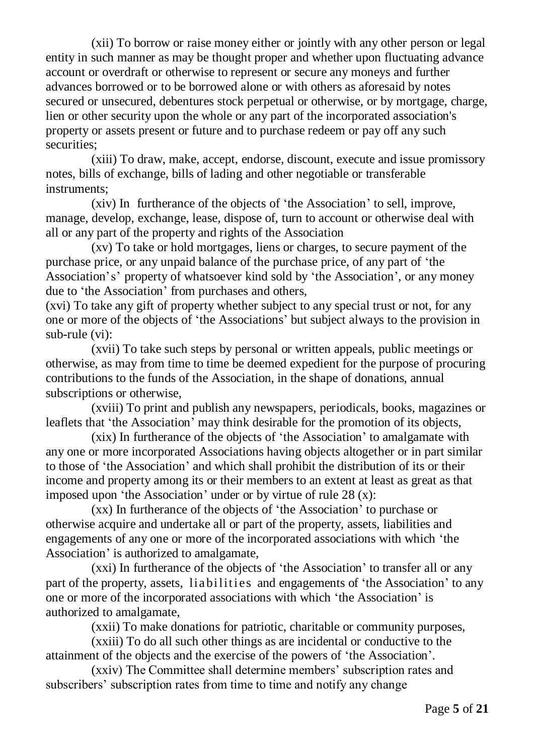(xii) To borrow or raise money either or jointly with any other person or legal entity in such manner as may be thought proper and whether upon fluctuating advance account or overdraft or otherwise to represent or secure any moneys and further advances borrowed or to be borrowed alone or with others as aforesaid by notes secured or unsecured, debentures stock perpetual or otherwise, or by mortgage, charge, lien or other security upon the whole or any part of the incorporated association's property or assets present or future and to purchase redeem or pay off any such securities:

(xiii) To draw, make, accept, endorse, discount, execute and issue promissory notes, bills of exchange, bills of lading and other negotiable or transferable instruments;

(xiv) In furtherance of the objects of 'the Association' to sell, improve, manage, develop, exchange, lease, dispose of, turn to account or otherwise deal with all or any part of the property and rights of the Association

(xv) To take or hold mortgages, liens or charges, to secure payment of the purchase price, or any unpaid balance of the purchase price, of any part of 'the Association's' property of whatsoever kind sold by 'the Association', or any money due to 'the Association' from purchases and others,

(xvi) To take any gift of property whether subject to any special trust or not, for any one or more of the objects of 'the Associations' but subject always to the provision in sub-rule (vi):

(xvii) To take such steps by personal or written appeals, public meetings or otherwise, as may from time to time be deemed expedient for the purpose of procuring contributions to the funds of the Association, in the shape of donations, annual subscriptions or otherwise,

(xviii) To print and publish any newspapers, periodicals, books, magazines or leaflets that 'the Association' may think desirable for the promotion of its objects,

(xix) In furtherance of the objects of 'the Association' to amalgamate with any one or more incorporated Associations having objects altogether or in part similar to those of 'the Association' and which shall prohibit the distribution of its or their income and property among its or their members to an extent at least as great as that imposed upon 'the Association' under or by virtue of rule 28 (x):

(xx) In furtherance of the objects of 'the Association' to purchase or otherwise acquire and undertake all or part of the property, assets, liabilities and engagements of any one or more of the incorporated associations with which 'the Association' is authorized to amalgamate,

(xxi) In furtherance of the objects of 'the Association' to transfer all or any part of the property, assets, liabilities and engagements of 'the Association' to any one or more of the incorporated associations with which 'the Association' is authorized to amalgamate,

(xxii) To make donations for patriotic, charitable or community purposes,

(xxiii) To do all such other things as are incidental or conductive to the attainment of the objects and the exercise of the powers of 'the Association'.

(xxiv) The Committee shall determine members' subscription rates and subscribers' subscription rates from time to time and notify any change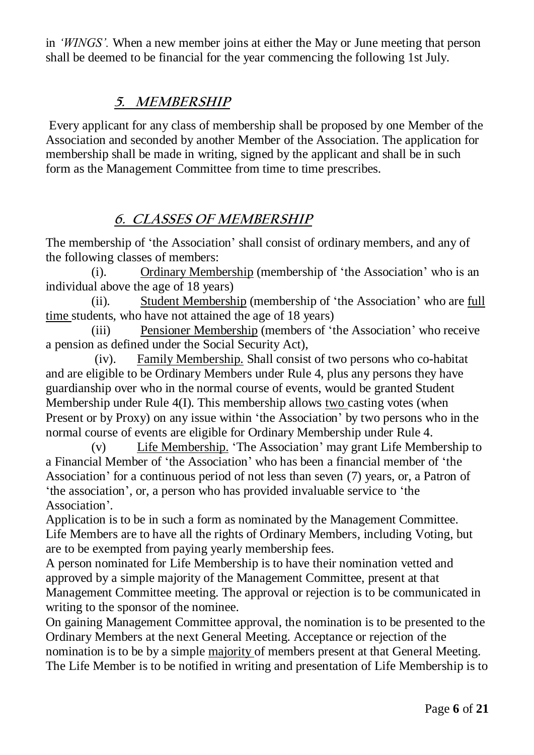in *'WINGS'.* When a new member joins at either the May or June meeting that person shall be deemed to be financial for the year commencing the following 1st July.

### **5. MEMBERSHIP**

Every applicant for any class of membership shall be proposed by one Member of the Association and seconded by another Member of the Association. The application for membership shall be made in writing, signed by the applicant and shall be in such form as the Management Committee from time to time prescribes.

# **6. CLASSES OF MEMBERSHIP**

The membership of 'the Association' shall consist of ordinary members, and any of the following classes of members:

(i). Ordinary Membership (membership of 'the Association' who is an individual above the age of 18 years)

(ii). Student Membership (membership of 'the Association' who are full time students, who have not attained the age of 18 years)

(iii) Pensioner Membership (members of 'the Association' who receive a pension as defined under the Social Security Act),

(iv). Family Membership. Shall consist of two persons who co-habitat and are eligible to be Ordinary Members under Rule 4, plus any persons they have guardianship over who in the normal course of events, would be granted Student Membership under Rule 4(I). This membership allows two casting votes (when Present or by Proxy) on any issue within 'the Association' by two persons who in the normal course of events are eligible for Ordinary Membership under Rule 4.

(v) Life Membership. 'The Association' may grant Life Membership to a Financial Member of 'the Association' who has been a financial member of 'the Association' for a continuous period of not less than seven (7) years, or, a Patron of 'the association', or, a person who has provided invaluable service to 'the Association'.

Application is to be in such a form as nominated by the Management Committee. Life Members are to have all the rights of Ordinary Members, including Voting, but are to be exempted from paying yearly membership fees.

A person nominated for Life Membership is to have their nomination vetted and approved by a simple majority of the Management Committee, present at that Management Committee meeting. The approval or rejection is to be communicated in writing to the sponsor of the nominee.

On gaining Management Committee approval, the nomination is to be presented to the Ordinary Members at the next General Meeting. Acceptance or rejection of the nomination is to be by a simple majority of members present at that General Meeting. The Life Member is to be notified in writing and presentation of Life Membership is to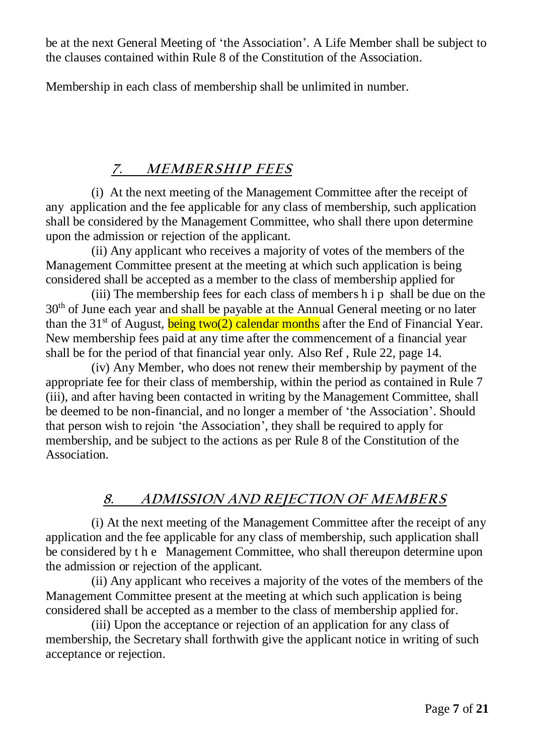be at the next General Meeting of 'the Association'. A Life Member shall be subject to the clauses contained within Rule 8 of the Constitution of the Association.

Membership in each class of membership shall be unlimited in number.

### **7. MEMBERSHIP FEES**

(i) At the next meeting of the Management Committee after the receipt of any application and the fee applicable for any class of membership, such application shall be considered by the Management Committee, who shall there upon determine upon the admission or rejection of the applicant.

(ii) Any applicant who receives a majority of votes of the members of the Management Committee present at the meeting at which such application is being considered shall be accepted as a member to the class of membership applied for

(iii) The membership fees for each class of members h i p shall be due on the 30th of June each year and shall be payable at the Annual General meeting or no later than the 31<sup>st</sup> of August, **being two(2) calendar months** after the End of Financial Year. New membership fees paid at any time after the commencement of a financial year shall be for the period of that financial year only. Also Ref , Rule 22, page 14.

(iv) Any Member, who does not renew their membership by payment of the appropriate fee for their class of membership, within the period as contained in Rule 7 (iii), and after having been contacted in writing by the Management Committee, shall be deemed to be non-financial, and no longer a member of 'the Association'. Should that person wish to rejoin 'the Association', they shall be required to apply for membership, and be subject to the actions as per Rule 8 of the Constitution of the Association.

### **8. ADMISSION AND REJECTION OF MEMBERS**

(i) At the next meeting of the Management Committee after the receipt of any application and the fee applicable for any class of membership, such application shall be considered by t h e Management Committee, who shall thereupon determine upon the admission or rejection of the applicant.

(ii) Any applicant who receives a majority of the votes of the members of the Management Committee present at the meeting at which such application is being considered shall be accepted as a member to the class of membership applied for.

(iii) Upon the acceptance or rejection of an application for any class of membership, the Secretary shall forthwith give the applicant notice in writing of such acceptance or rejection.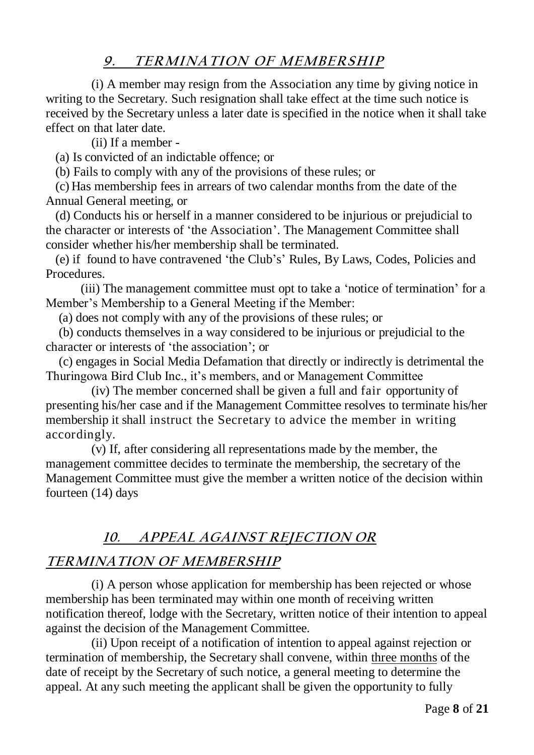### **9. TERMINATION OF MEMBERSHIP**

(i) A member may resign from the Association any time by giving notice in writing to the Secretary. Such resignation shall take effect at the time such notice is received by the Secretary unless a later date is specified in the notice when it shall take effect on that later date.

(ii) If a member -

(a) Is convicted of an indictable offence; or

(b) Fails to comply with any of the provisions of these rules; or

 (c) Has membership fees in arrears of two calendar months from the date of the Annual General meeting, or

 (d) Conducts his or herself in a manner considered to be injurious or prejudicial to the character or interests of 'the Association'. The Management Committee shall consider whether his/her membership shall be terminated.

 (e) if found to have contravened 'the Club's' Rules, By Laws, Codes, Policies and **Procedures** 

 (iii) The management committee must opt to take a 'notice of termination' for a Member's Membership to a General Meeting if the Member:

(a) does not comply with any of the provisions of these rules; or

 (b) conducts themselves in a way considered to be injurious or prejudicial to the character or interests of 'the association'; or

 (c) engages in Social Media Defamation that directly or indirectly is detrimental the Thuringowa Bird Club Inc., it's members, and or Management Committee

(iv) The member concerned shall be given a full and fair opportunity of presenting his/her case and if the Management Committee resolves to terminate his/her membership it shall instruct the Secretary to advice the member in writing accordingly.

(v) If, after considering all representations made by the member, the management committee decides to terminate the membership, the secretary of the Management Committee must give the member a written notice of the decision within fourteen (14) days

# **10. APPEAL AGAINST REJECTION OR**

# **TERMINATION OF MEMBERSHIP**

(i) A person whose application for membership has been rejected or whose membership has been terminated may within one month of receiving written notification thereof, lodge with the Secretary, written notice of their intention to appeal against the decision of the Management Committee.

(ii) Upon receipt of a notification of intention to appeal against rejection or termination of membership, the Secretary shall convene, within three months of the date of receipt by the Secretary of such notice, a general meeting to determine the appeal. At any such meeting the applicant shall be given the opportunity to fully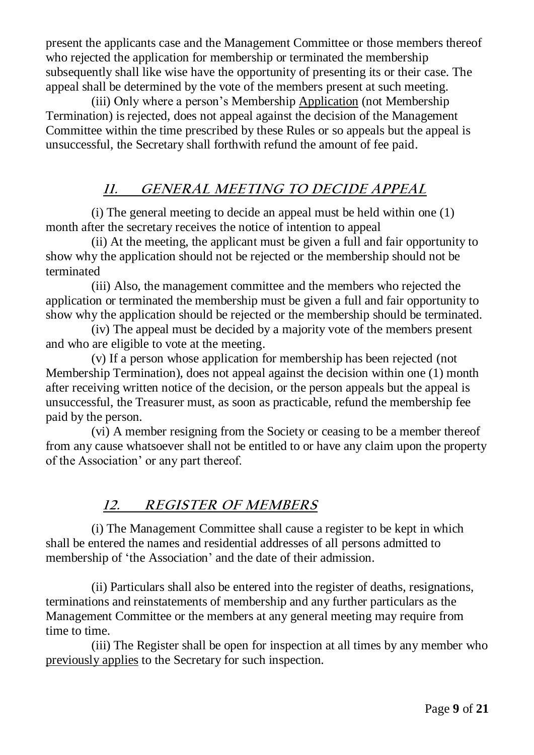present the applicants case and the Management Committee or those members thereof who rejected the application for membership or terminated the membership subsequently shall like wise have the opportunity of presenting its or their case. The appeal shall be determined by the vote of the members present at such meeting.

(iii) Only where a person's Membership Application (not Membership Termination) is rejected, does not appeal against the decision of the Management Committee within the time prescribed by these Rules or so appeals but the appeal is unsuccessful, the Secretary shall forthwith refund the amount of fee paid.

# **11. GENERAL MEETING TO DECIDE APPEAL**

(i) The general meeting to decide an appeal must be held within one (1) month after the secretary receives the notice of intention to appeal

(ii) At the meeting, the applicant must be given a full and fair opportunity to show why the application should not be rejected or the membership should not be terminated

(iii) Also, the management committee and the members who rejected the application or terminated the membership must be given a full and fair opportunity to show why the application should be rejected or the membership should be terminated.

(iv) The appeal must be decided by a majority vote of the members present and who are eligible to vote at the meeting.

(v) If a person whose application for membership has been rejected (not Membership Termination), does not appeal against the decision within one (1) month after receiving written notice of the decision, or the person appeals but the appeal is unsuccessful, the Treasurer must, as soon as practicable, refund the membership fee paid by the person.

(vi) A member resigning from the Society or ceasing to be a member thereof from any cause whatsoever shall not be entitled to or have any claim upon the property of the Association' or any part thereof.

### **12. REGISTER OF MEMBERS**

(i) The Management Committee shall cause a register to be kept in which shall be entered the names and residential addresses of all persons admitted to membership of 'the Association' and the date of their admission.

(ii) Particulars shall also be entered into the register of deaths, resignations, terminations and reinstatements of membership and any further particulars as the Management Committee or the members at any general meeting may require from time to time.

(iii) The Register shall be open for inspection at all times by any member who previously applies to the Secretary for such inspection.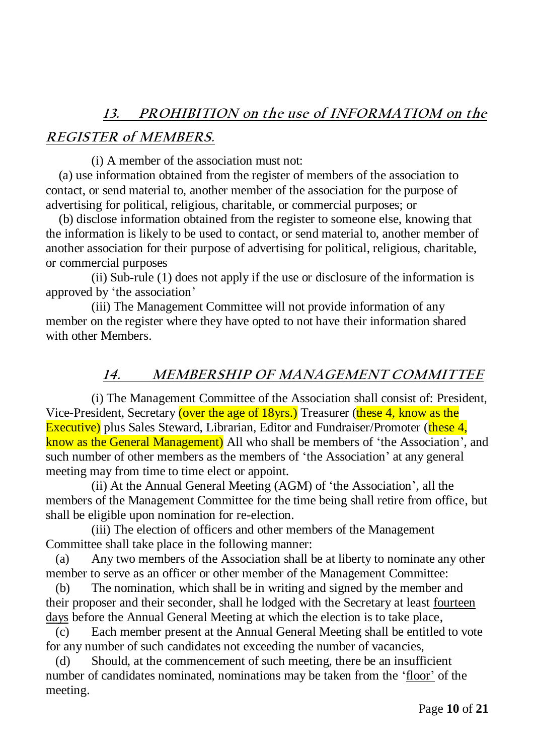# **13. PROHIBITION on the use of INFORMATIOM on the**

### **REGISTER of MEMBERS.**

(i) A member of the association must not:

 (a) use information obtained from the register of members of the association to contact, or send material to, another member of the association for the purpose of advertising for political, religious, charitable, or commercial purposes; or

 (b) disclose information obtained from the register to someone else, knowing that the information is likely to be used to contact, or send material to, another member of another association for their purpose of advertising for political, religious, charitable, or commercial purposes

(ii) Sub-rule (1) does not apply if the use or disclosure of the information is approved by 'the association'

(iii) The Management Committee will not provide information of any member on the register where they have opted to not have their information shared with other Members.

### **14. MEMBERSHIP OF MANAGEMENT COMMITTEE**

(i) The Management Committee of the Association shall consist of: President, Vice-President, Secretary (over the age of 18yrs.) Treasurer (these 4, know as the Executive) plus Sales Steward, Librarian, Editor and Fundraiser/Promoter (these 4, know as the General Management) All who shall be members of 'the Association', and such number of other members as the members of 'the Association' at any general meeting may from time to time elect or appoint.

(ii) At the Annual General Meeting (AGM) of 'the Association', all the members of the Management Committee for the time being shall retire from office, but shall be eligible upon nomination for re-election.

(iii) The election of officers and other members of the Management Committee shall take place in the following manner:

 (a) Any two members of the Association shall be at liberty to nominate any other member to serve as an officer or other member of the Management Committee:

 (b) The nomination, which shall be in writing and signed by the member and their proposer and their seconder, shall he lodged with the Secretary at least fourteen days before the Annual General Meeting at which the election is to take place,

 (c) Each member present at the Annual General Meeting shall be entitled to vote for any number of such candidates not exceeding the number of vacancies,

 (d) Should, at the commencement of such meeting, there be an insufficient number of candidates nominated, nominations may be taken from the 'floor' of the meeting.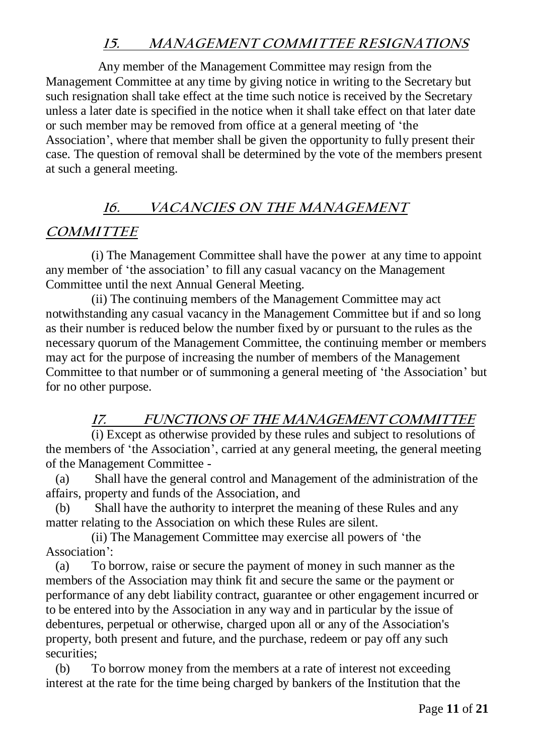### **15. MANAGEMENT COMMITTEE RESIGNATIONS**

 Any member of the Management Committee may resign from the Management Committee at any time by giving notice in writing to the Secretary but such resignation shall take effect at the time such notice is received by the Secretary unless a later date is specified in the notice when it shall take effect on that later date or such member may be removed from office at a general meeting of 'the Association', where that member shall be given the opportunity to fully present their case. The question of removal shall be determined by the vote of the members present at such a general meeting.

### **16. VACANCIES ON THE MANAGEMENT**

### **COMMITTEE**

(i) The Management Committee shall have the power at any time to appoint any member of 'the association' to fill any casual vacancy on the Management Committee until the next Annual General Meeting.

(ii) The continuing members of the Management Committee may act notwithstanding any casual vacancy in the Management Committee but if and so long as their number is reduced below the number fixed by or pursuant to the rules as the necessary quorum of the Management Committee, the continuing member or members may act for the purpose of increasing the number of members of the Management Committee to that number or of summoning a general meeting of 'the Association' but for no other purpose.

### **17. FUNCTIONS OF THE MANAGEMENT COMMITTEE**

(i) Except as otherwise provided by these rules and subject to resolutions of the members of 'the Association', carried at any general meeting, the general meeting of the Management Committee -

 (a) Shall have the general control and Management of the administration of the affairs, property and funds of the Association, and

 (b) Shall have the authority to interpret the meaning of these Rules and any matter relating to the Association on which these Rules are silent.

(ii) The Management Committee may exercise all powers of 'the Association':

 (a) To borrow, raise or secure the payment of money in such manner as the members of the Association may think fit and secure the same or the payment or performance of any debt liability contract, guarantee or other engagement incurred or to be entered into by the Association in any way and in particular by the issue of debentures, perpetual or otherwise, charged upon all or any of the Association's property, both present and future, and the purchase, redeem or pay off any such securities;

 (b) To borrow money from the members at a rate of interest not exceeding interest at the rate for the time being charged by bankers of the Institution that the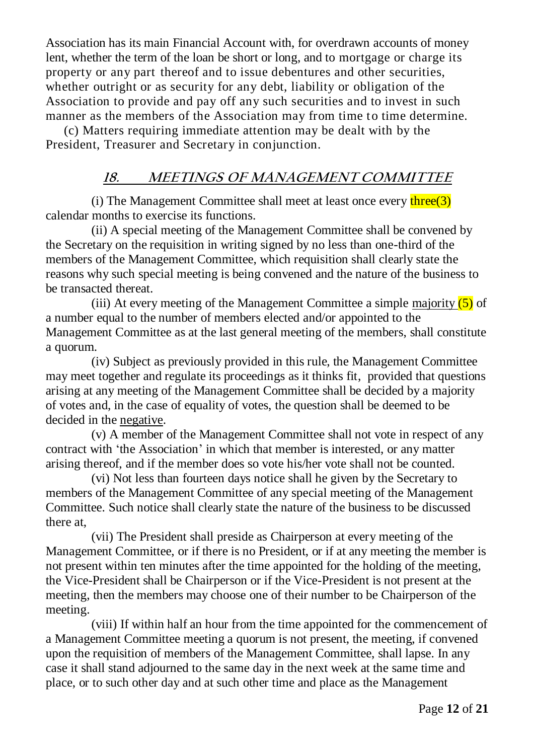Association has its main Financial Account with, for overdrawn accounts of money lent, whether the term of the loan be short or long, and to mortgage or charge its property or any part thereof and to issue debentures and other securities, whether outright or as security for any debt, liability or obligation of the Association to provide and pay off any such securities and to invest in such manner as the members of the Association may from time to time determine.

 (c) Matters requiring immediate attention may be dealt with by the President, Treasurer and Secretary in conjunction.

### **18. MEETINGS OF MANAGEMENT COMMITTEE**

(i) The Management Committee shall meet at least once every  $three(3)$ calendar months to exercise its functions.

(ii) A special meeting of the Management Committee shall be convened by the Secretary on the requisition in writing signed by no less than one-third of the members of the Management Committee, which requisition shall clearly state the reasons why such special meeting is being convened and the nature of the business to be transacted thereat.

(iii) At every meeting of the Management Committee a simple majority  $(5)$  of a number equal to the number of members elected and/or appointed to the Management Committee as at the last general meeting of the members, shall constitute a quorum.

(iv) Subject as previously provided in this rule, the Management Committee may meet together and regulate its proceedings as it thinks fit, provided that questions arising at any meeting of the Management Committee shall be decided by a majority of votes and, in the case of equality of votes, the question shall be deemed to be decided in the negative.

(v) A member of the Management Committee shall not vote in respect of any contract with 'the Association' in which that member is interested, or any matter arising thereof, and if the member does so vote his/her vote shall not be counted.

(vi) Not less than fourteen days notice shall he given by the Secretary to members of the Management Committee of any special meeting of the Management Committee. Such notice shall clearly state the nature of the business to be discussed there at,

(vii) The President shall preside as Chairperson at every meeting of the Management Committee, or if there is no President, or if at any meeting the member is not present within ten minutes after the time appointed for the holding of the meeting, the Vice-President shall be Chairperson or if the Vice-President is not present at the meeting, then the members may choose one of their number to be Chairperson of the meeting.

(viii) If within half an hour from the time appointed for the commencement of a Management Committee meeting a quorum is not present, the meeting, if convened upon the requisition of members of the Management Committee, shall lapse. In any case it shall stand adjourned to the same day in the next week at the same time and place, or to such other day and at such other time and place as the Management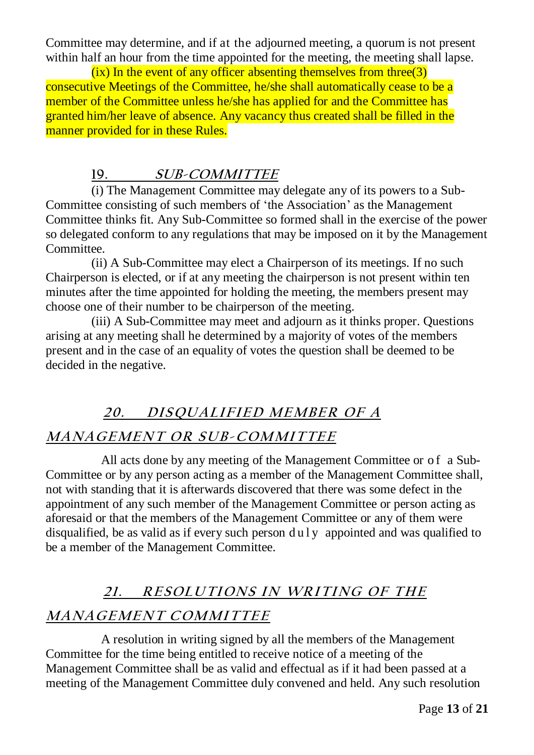Committee may determine, and if at the adjourned meeting, a quorum is not present within half an hour from the time appointed for the meeting, the meeting shall lapse.

 $(ix)$  In the event of any officer absenting themselves from three  $(3)$ consecutive Meetings of the Committee, he/she shall automatically cease to be a member of the Committee unless he/she has applied for and the Committee has granted him/her leave of absence. Any vacancy thus created shall be filled in the manner provided for in these Rules.

### **19. SUB-COMMITTEE**

(i) The Management Committee may delegate any of its powers to a Sub-Committee consisting of such members of 'the Association' as the Management Committee thinks fit. Any Sub-Committee so formed shall in the exercise of the power so delegated conform to any regulations that may be imposed on it by the Management Committee.

(ii) A Sub-Committee may elect a Chairperson of its meetings. If no such Chairperson is elected, or if at any meeting the chairperson is not present within ten minutes after the time appointed for holding the meeting, the members present may choose one of their number to be chairperson of the meeting.

(iii) A Sub-Committee may meet and adjourn as it thinks proper. Questions arising at any meeting shall he determined by a majority of votes of the members present and in the case of an equality of votes the question shall be deemed to be decided in the negative.

# 20. DISQUALIFIED MEMBER OF A

### **MANAGE ME <sup>N</sup> <sup>T</sup> <sup>O</sup> <sup>R</sup> SU B-COMMI TTE <sup>E</sup>**

 All acts done by any meeting of the Management Committee or of a Sub-Committee or by any person acting as a member of the Management Committee shall, not with standing that it is afterwards discovered that there was some defect in the appointment of any such member of the Management Committee or person acting as aforesaid or that the members of the Management Committee or any of them were disqualified, be as valid as if every such person  $du \,dv$  appointed and was qualified to be a member of the Management Committee.

# **21. RE SOLU TI ONS I <sup>N</sup> WRI TI NG OF THE MANAGE ME <sup>N</sup> <sup>T</sup> COMMI TTE <sup>E</sup>**

 A resolution in writing signed by all the members of the Management Committee for the time being entitled to receive notice of a meeting of the Management Committee shall be as valid and effectual as if it had been passed at a meeting of the Management Committee duly convened and held. Any such resolution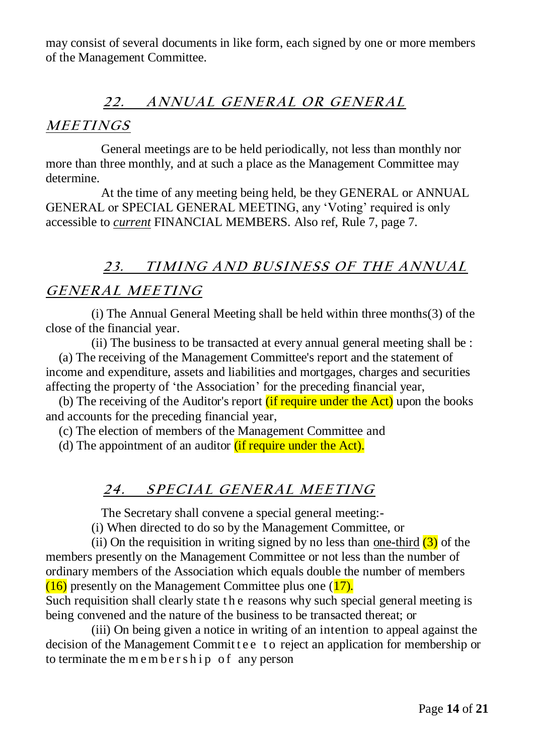may consist of several documents in like form, each signed by one or more members of the Management Committee.

### 22. ANNUAL GENERAL OR GENERAL

### **ME <sup>E</sup> TI NGS**

 General meetings are to be held periodically, not less than monthly nor more than three monthly, and at such a place as the Management Committee may determine.

 At the time of any meeting being held, be they GENERAL or ANNUAL GENERAL or SPECIAL GENERAL MEETING, any 'Voting' required is only accessible to *current* FINANCIAL MEMBERS. Also ref, Rule 7, page 7.

# 23. TIMING AND BUSINESS OF THE ANNUAL  $GENERAL MEETING$

(i) The Annual General Meeting shall be held within three months(3) of the close of the financial year.

(ii) The business to be transacted at every annual general meeting shall be : (a) The receiving of the Management Committee's report and the statement of income and expenditure, assets and liabilities and mortgages, charges and securities

affecting the property of 'the Association' for the preceding financial year,

(b) The receiving of the Auditor's report  $(i$  f require under the Act) upon the books and accounts for the preceding financial year,

(c) The election of members of the Management Committee and

(d) The appointment of an auditor *(if require under the Act)*.

### **24. S PE CI AL GE NE RAL ME <sup>E</sup> TI NG**

The Secretary shall convene a special general meeting:-

(i) When directed to do so by the Management Committee, or

(ii) On the requisition in writing signed by no less than one-third  $(3)$  of the members presently on the Management Committee or not less than the number of ordinary members of the Association which equals double the number of members  $(16)$  presently on the Management Committee plus one  $(17)$ . Such requisition shall clearly state t h e reasons why such special general meeting is being convened and the nature of the business to be transacted thereat; or

(iii) On being given a notice in writing of an intention to appeal against the decision of the Management Commit t e e to reject an application for membership or to terminate the m e m b e  $r \sinh p$  of any person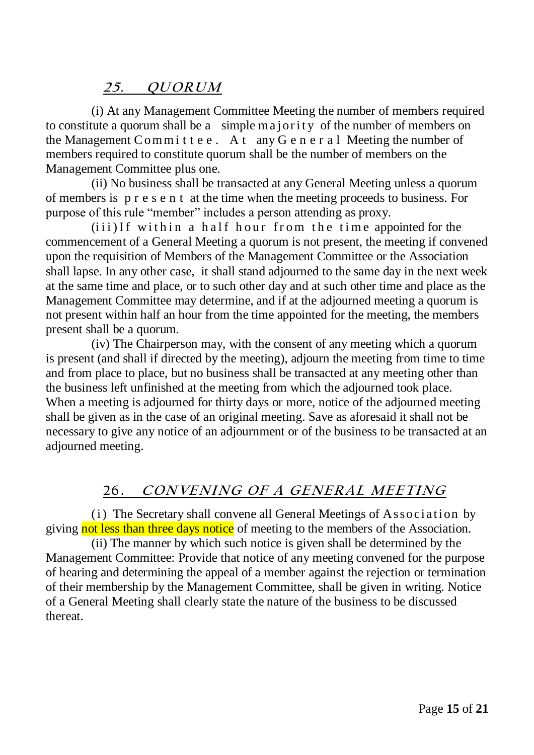### **25. QU ORU <sup>M</sup>**

(i) At any Management Committee Meeting the number of members required to constitute a quorum shall be a simple majority of the number of members on the Management Committee. At any G e n e r a l Meeting the number of members required to constitute quorum shall be the number of members on the Management Committee plus one.

(ii) No business shall be transacted at any General Meeting unless a quorum of members is p r e s e n t at the time when the meeting proceeds to business. For purpose of this rule "member" includes a person attending as proxy.

 $(iii)$ If within a half hour from the time appointed for the commencement of a General Meeting a quorum is not present, the meeting if convened upon the requisition of Members of the Management Committee or the Association shall lapse. In any other case, it shall stand adjourned to the same day in the next week at the same time and place, or to such other day and at such other time and place as the Management Committee may determine, and if at the adjourned meeting a quorum is not present within half an hour from the time appointed for the meeting, the members present shall be a quorum.

(iv) The Chairperson may, with the consent of any meeting which a quorum is present (and shall if directed by the meeting), adjourn the meeting from time to time and from place to place, but no business shall be transacted at any meeting other than the business left unfinished at the meeting from which the adjourned took place. When a meeting is adjourned for thirty days or more, notice of the adjourned meeting shall be given as in the case of an original meeting. Save as aforesaid it shall not be necessary to give any notice of an adjournment or of the business to be transacted at an adjourned meeting.

### 26. CONVENING OF A GENERAL MEETING

(i) The Secretary shall convene all General Meetings of Association by giving not less than three days notice of meeting to the members of the Association.

(ii) The manner by which such notice is given shall be determined by the Management Committee: Provide that notice of any meeting convened for the purpose of hearing and determining the appeal of a member against the rejection or termination of their membership by the Management Committee, shall be given in writing. Notice of a General Meeting shall clearly state the nature of the business to be discussed thereat.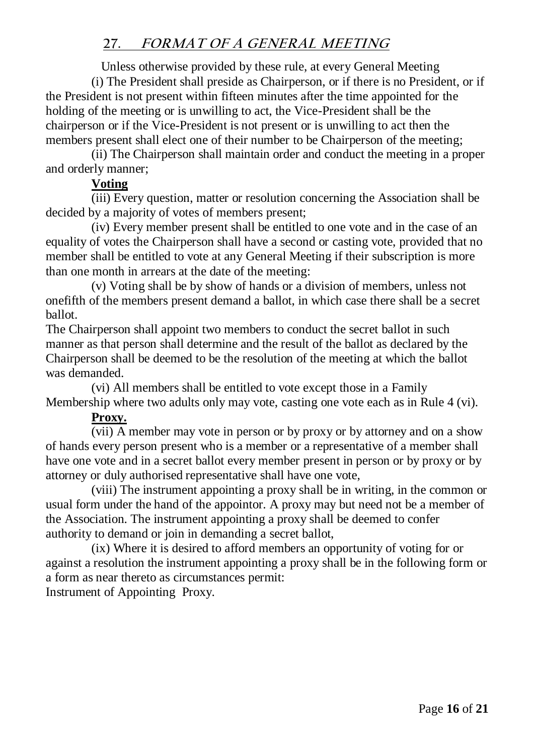### **27. FORMAT OF A GENERAL MEETING**

Unless otherwise provided by these rule, at every General Meeting

(i) The President shall preside as Chairperson, or if there is no President, or if the President is not present within fifteen minutes after the time appointed for the holding of the meeting or is unwilling to act, the Vice-President shall be the chairperson or if the Vice-President is not present or is unwilling to act then the members present shall elect one of their number to be Chairperson of the meeting;

(ii) The Chairperson shall maintain order and conduct the meeting in a proper and orderly manner;

### **Voting**

(iii) Every question, matter or resolution concerning the Association shall be decided by a majority of votes of members present;

(iv) Every member present shall be entitled to one vote and in the case of an equality of votes the Chairperson shall have a second or casting vote, provided that no member shall be entitled to vote at any General Meeting if their subscription is more than one month in arrears at the date of the meeting:

(v) Voting shall be by show of hands or a division of members, unless not onefifth of the members present demand a ballot, in which case there shall be a secret ballot.

The Chairperson shall appoint two members to conduct the secret ballot in such manner as that person shall determine and the result of the ballot as declared by the Chairperson shall be deemed to be the resolution of the meeting at which the ballot was demanded.

(vi) All members shall be entitled to vote except those in a Family Membership where two adults only may vote, casting one vote each as in Rule 4 (vi).

### **Proxy.**

(vii) A member may vote in person or by proxy or by attorney and on a show of hands every person present who is a member or a representative of a member shall have one vote and in a secret ballot every member present in person or by proxy or by attorney or duly authorised representative shall have one vote,

(viii) The instrument appointing a proxy shall be in writing, in the common or usual form under the hand of the appointor. A proxy may but need not be a member of the Association. The instrument appointing a proxy shall be deemed to confer authority to demand or join in demanding a secret ballot,

(ix) Where it is desired to afford members an opportunity of voting for or against a resolution the instrument appointing a proxy shall be in the following form or a form as near thereto as circumstances permit:

Instrument of Appointing Proxy.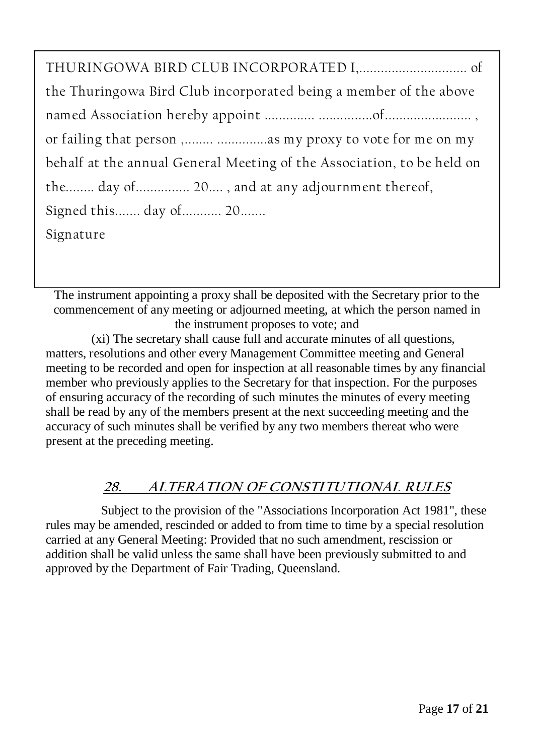| the Thuringowa Bird Club incorporated being a member of the above      |  |
|------------------------------------------------------------------------|--|
|                                                                        |  |
|                                                                        |  |
| behalf at the annual General Meeting of the Association, to be held on |  |
| the day of 20, and at any adjournment thereof,                         |  |
| Signed this day of 20                                                  |  |
| Signature                                                              |  |
|                                                                        |  |

The instrument appointing a proxy shall be deposited with the Secretary prior to the commencement of any meeting or adjourned meeting, at which the person named in the instrument proposes to vote; and

(xi) The secretary shall cause full and accurate minutes of all questions, matters, resolutions and other every Management Committee meeting and General meeting to be recorded and open for inspection at all reasonable times by any financial member who previously applies to the Secretary for that inspection. For the purposes of ensuring accuracy of the recording of such minutes the minutes of every meeting shall be read by any of the members present at the next succeeding meeting and the accuracy of such minutes shall be verified by any two members thereat who were present at the preceding meeting.

# **28. ALTERATION OF CONSTITUTIONAL RULES**

 Subject to the provision of the "Associations Incorporation Act 1981", these rules may be amended, rescinded or added to from time to time by a special resolution carried at any General Meeting: Provided that no such amendment, rescission or addition shall be valid unless the same shall have been previously submitted to and approved by the Department of Fair Trading, Queensland.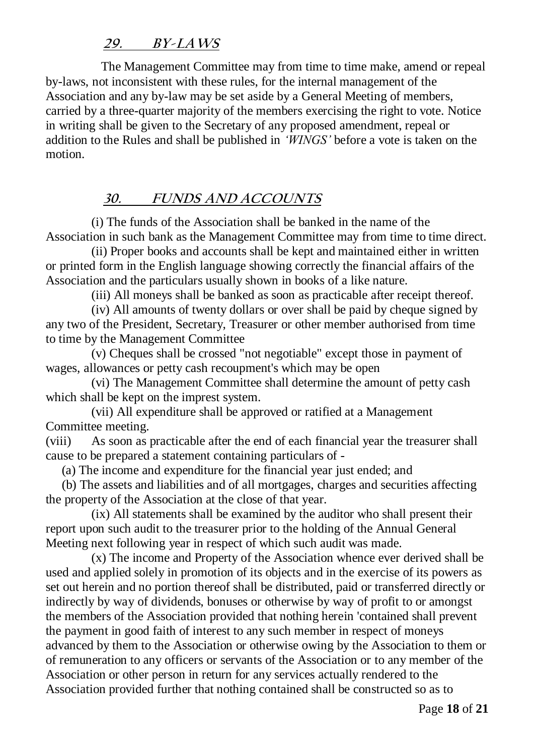### **29. BY-LAWS**

 The Management Committee may from time to time make, amend or repeal by-laws, not inconsistent with these rules, for the internal management of the Association and any by-law may be set aside by a General Meeting of members, carried by a three-quarter majority of the members exercising the right to vote. Notice in writing shall be given to the Secretary of any proposed amendment, repeal or addition to the Rules and shall be published in *'WINGS'* before a vote is taken on the motion.

### **30. FUNDS AND ACCOUNTS**

(i) The funds of the Association shall be banked in the name of the Association in such bank as the Management Committee may from time to time direct.

(ii) Proper books and accounts shall be kept and maintained either in written or printed form in the English language showing correctly the financial affairs of the Association and the particulars usually shown in books of a like nature.

(iii) All moneys shall be banked as soon as practicable after receipt thereof.

(iv) All amounts of twenty dollars or over shall be paid by cheque signed by any two of the President, Secretary, Treasurer or other member authorised from time to time by the Management Committee

(v) Cheques shall be crossed "not negotiable" except those in payment of wages, allowances or petty cash recoupment's which may be open

(vi) The Management Committee shall determine the amount of petty cash which shall be kept on the imprest system.

(vii) All expenditure shall be approved or ratified at a Management Committee meeting.

(viii) As soon as practicable after the end of each financial year the treasurer shall cause to be prepared a statement containing particulars of -

(a) The income and expenditure for the financial year just ended; and

 (b) The assets and liabilities and of all mortgages, charges and securities affecting the property of the Association at the close of that year.

(ix) All statements shall be examined by the auditor who shall present their report upon such audit to the treasurer prior to the holding of the Annual General Meeting next following year in respect of which such audit was made.

(x) The income and Property of the Association whence ever derived shall be used and applied solely in promotion of its objects and in the exercise of its powers as set out herein and no portion thereof shall be distributed, paid or transferred directly or indirectly by way of dividends, bonuses or otherwise by way of profit to or amongst the members of the Association provided that nothing herein 'contained shall prevent the payment in good faith of interest to any such member in respect of moneys advanced by them to the Association or otherwise owing by the Association to them or of remuneration to any officers or servants of the Association or to any member of the Association or other person in return for any services actually rendered to the Association provided further that nothing contained shall be constructed so as to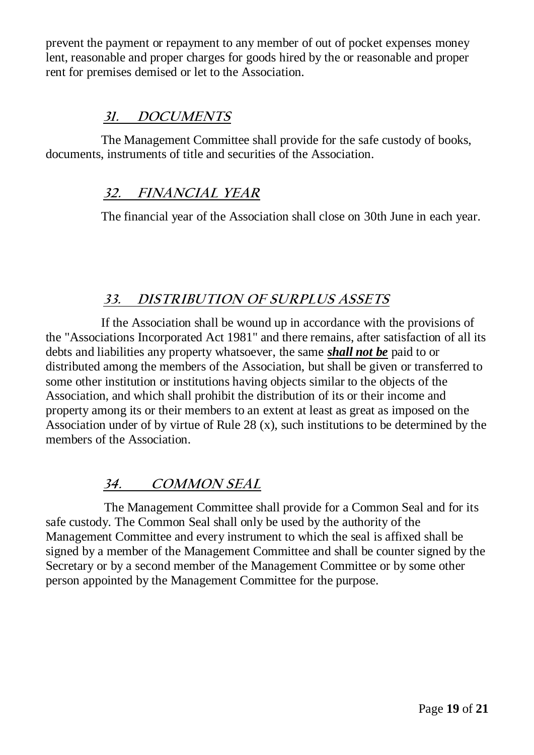prevent the payment or repayment to any member of out of pocket expenses money lent, reasonable and proper charges for goods hired by the or reasonable and proper rent for premises demised or let to the Association.

### **31. DOCUMENTS**

 The Management Committee shall provide for the safe custody of books, documents, instruments of title and securities of the Association.

### **32. FINANCIAL YEAR**

The financial year of the Association shall close on 30th June in each year.

### **33. DISTRIBUTION OF SURPLUS ASSETS**

 If the Association shall be wound up in accordance with the provisions of the "Associations Incorporated Act 1981" and there remains, after satisfaction of all its debts and liabilities any property whatsoever, the same *shall not be* paid to or distributed among the members of the Association, but shall be given or transferred to some other institution or institutions having objects similar to the objects of the Association, and which shall prohibit the distribution of its or their income and property among its or their members to an extent at least as great as imposed on the Association under of by virtue of Rule 28  $(x)$ , such institutions to be determined by the members of the Association.

# **34. COMMON SEAL**

 The Management Committee shall provide for a Common Seal and for its safe custody. The Common Seal shall only be used by the authority of the Management Committee and every instrument to which the seal is affixed shall be signed by a member of the Management Committee and shall be counter signed by the Secretary or by a second member of the Management Committee or by some other person appointed by the Management Committee for the purpose.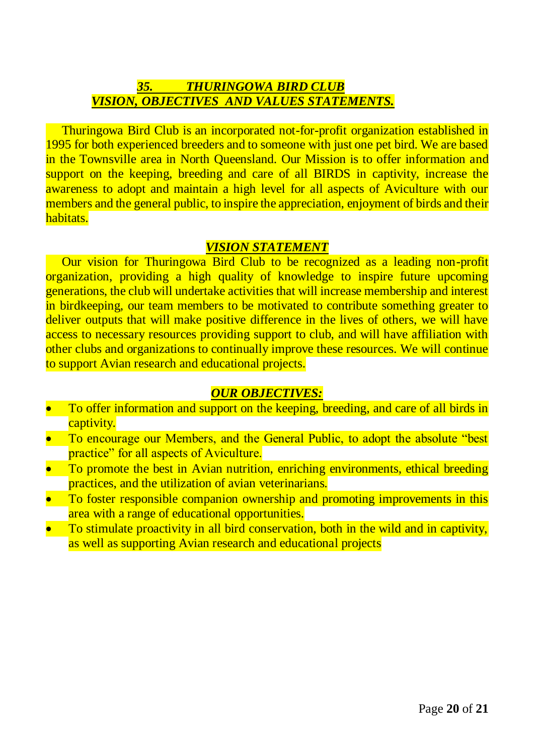### *35. THURINGOWA BIRD CLUB VISION, OBJECTIVES AND VALUES STATEMENTS.*

 Thuringowa Bird Club is an incorporated not-for-profit organization established in 1995 for both experienced breeders and to someone with just one pet bird. We are based in the Townsville area in North Queensland. Our Mission is to offer information and support on the keeping, breeding and care of all BIRDS in captivity, increase the awareness to adopt and maintain a high level for all aspects of Aviculture with our members and the general public, to inspire the appreciation, enjoyment of birds and their habitats.

#### *VISION STATEMENT*

 Our vision for Thuringowa Bird Club to be recognized as a leading non-profit organization, providing a high quality of knowledge to inspire future upcoming generations, the club will undertake activities that will increase membership and interest in birdkeeping, our team members to be motivated to contribute something greater to deliver outputs that will make positive difference in the lives of others, we will have access to necessary resources providing support to club, and will have affiliation with other clubs and organizations to continually improve these resources. We will continue to support Avian research and educational projects.

#### *OUR OBJECTIVES:*

- To offer information and support on the keeping, breeding, and care of all birds in captivity.
- To encourage our Members, and the General Public, to adopt the absolute "best practice" for all aspects of Aviculture.
- To promote the best in Avian nutrition, enriching environments, ethical breeding practices, and the utilization of avian veterinarians.
- To foster responsible companion ownership and promoting improvements in this area with a range of educational opportunities.
- To stimulate proactivity in all bird conservation, both in the wild and in captivity, as well as supporting Avian research and educational projects